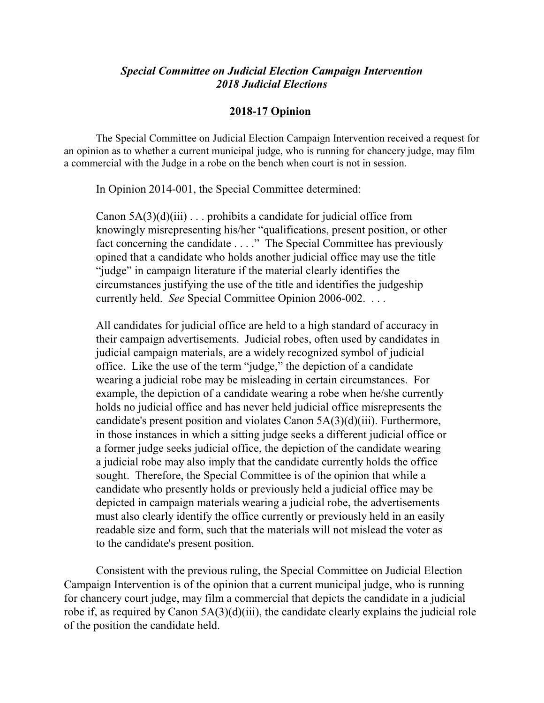## *Special Committee on Judicial Election Campaign Intervention 2018 Judicial Elections*

## **2018-17 Opinion**

The Special Committee on Judicial Election Campaign Intervention received a request for an opinion as to whether a current municipal judge, who is running for chancery judge, may film a commercial with the Judge in a robe on the bench when court is not in session.

In Opinion 2014-001, the Special Committee determined:

Canon  $5A(3)(d)(iii)$ ... prohibits a candidate for judicial office from knowingly misrepresenting his/her "qualifications, present position, or other fact concerning the candidate . . . ." The Special Committee has previously opined that a candidate who holds another judicial office may use the title "judge" in campaign literature if the material clearly identifies the circumstances justifying the use of the title and identifies the judgeship currently held. *See* Special Committee Opinion 2006-002. . . .

All candidates for judicial office are held to a high standard of accuracy in their campaign advertisements. Judicial robes, often used by candidates in judicial campaign materials, are a widely recognized symbol of judicial office. Like the use of the term "judge," the depiction of a candidate wearing a judicial robe may be misleading in certain circumstances. For example, the depiction of a candidate wearing a robe when he/she currently holds no judicial office and has never held judicial office misrepresents the candidate's present position and violates Canon 5A(3)(d)(iii). Furthermore, in those instances in which a sitting judge seeks a different judicial office or a former judge seeks judicial office, the depiction of the candidate wearing a judicial robe may also imply that the candidate currently holds the office sought. Therefore, the Special Committee is of the opinion that while a candidate who presently holds or previously held a judicial office may be depicted in campaign materials wearing a judicial robe, the advertisements must also clearly identify the office currently or previously held in an easily readable size and form, such that the materials will not mislead the voter as to the candidate's present position.

Consistent with the previous ruling, the Special Committee on Judicial Election Campaign Intervention is of the opinion that a current municipal judge, who is running for chancery court judge, may film a commercial that depicts the candidate in a judicial robe if, as required by Canon 5A(3)(d)(iii), the candidate clearly explains the judicial role of the position the candidate held.